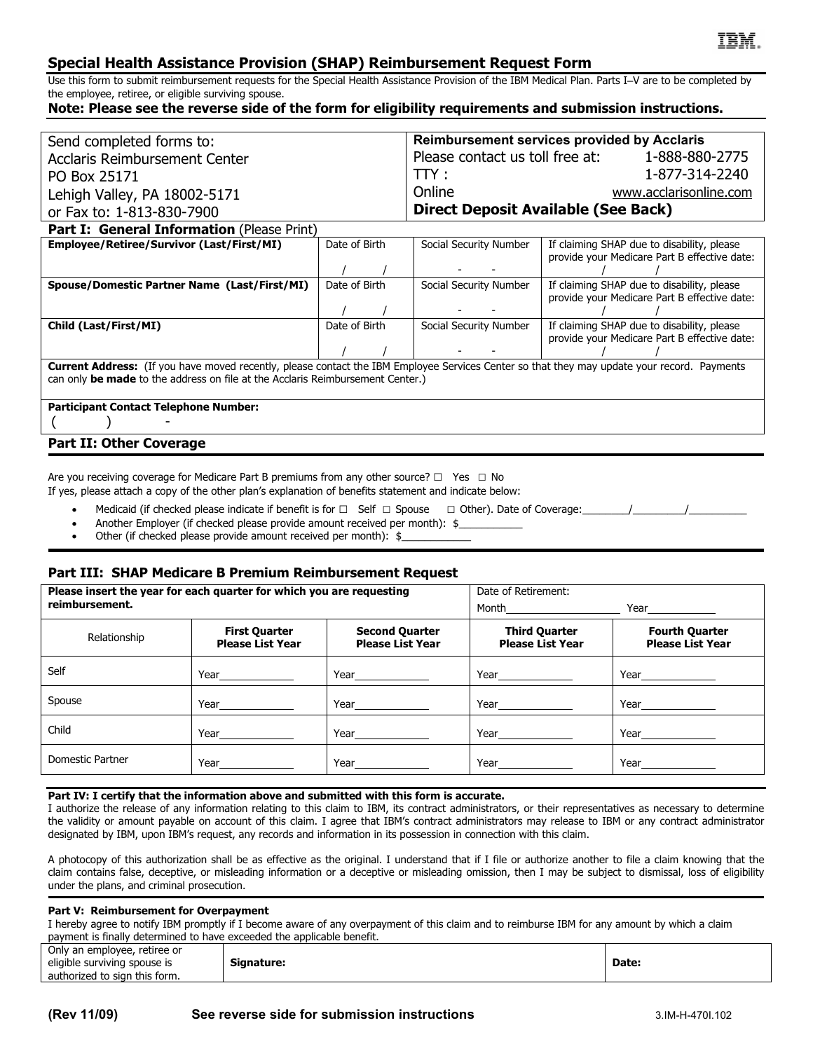# **Special Health Assistance Provision (SHAP) Reimbursement Request Form**

Use this form to submit reimbursement requests for the Special Health Assistance Provision of the IBM Medical Plan. Parts I–V are to be completed by the employee, retiree, or eligible surviving spouse.

## **Note: Please see the reverse side of the form for eligibility requirements and submission instructions.**

| Send completed forms to:                                                                                                                                                                                                      |               | <b>Reimbursement services provided by Acclaris</b> |                                                                                            |  |  |  |
|-------------------------------------------------------------------------------------------------------------------------------------------------------------------------------------------------------------------------------|---------------|----------------------------------------------------|--------------------------------------------------------------------------------------------|--|--|--|
| <b>Acclaris Reimbursement Center</b>                                                                                                                                                                                          |               | Please contact us toll free at: 1-888-880-2775     |                                                                                            |  |  |  |
| PO Box 25171                                                                                                                                                                                                                  |               | TTY:                                               | 1-877-314-2240                                                                             |  |  |  |
| Lehigh Valley, PA 18002-5171                                                                                                                                                                                                  |               | Online                                             | www.acclarisonline.com                                                                     |  |  |  |
| or Fax to: 1-813-830-7900                                                                                                                                                                                                     |               | <b>Direct Deposit Available (See Back)</b>         |                                                                                            |  |  |  |
| Part I: General Information (Please Print)                                                                                                                                                                                    |               |                                                    |                                                                                            |  |  |  |
| Employee/Retiree/Survivor (Last/First/MI)                                                                                                                                                                                     | Date of Birth | Social Security Number                             | If claiming SHAP due to disability, please                                                 |  |  |  |
|                                                                                                                                                                                                                               |               |                                                    | provide your Medicare Part B effective date:                                               |  |  |  |
| Spouse/Domestic Partner Name (Last/First/MI)                                                                                                                                                                                  | Date of Birth | Social Security Number                             | If claiming SHAP due to disability, please                                                 |  |  |  |
|                                                                                                                                                                                                                               |               |                                                    | provide your Medicare Part B effective date:                                               |  |  |  |
|                                                                                                                                                                                                                               |               |                                                    |                                                                                            |  |  |  |
| Child (Last/First/MI)                                                                                                                                                                                                         | Date of Birth | Social Security Number                             | If claiming SHAP due to disability, please<br>provide your Medicare Part B effective date: |  |  |  |
|                                                                                                                                                                                                                               |               |                                                    |                                                                                            |  |  |  |
|                                                                                                                                                                                                                               |               |                                                    |                                                                                            |  |  |  |
| Current Address: (If you have moved recently, please contact the IBM Employee Services Center so that they may update your record. Payments<br>can only be made to the address on file at the Acclaris Reimbursement Center.) |               |                                                    |                                                                                            |  |  |  |
|                                                                                                                                                                                                                               |               |                                                    |                                                                                            |  |  |  |
| <b>Participant Contact Telephone Number:</b>                                                                                                                                                                                  |               |                                                    |                                                                                            |  |  |  |
|                                                                                                                                                                                                                               |               |                                                    |                                                                                            |  |  |  |
| <b>Part II: Other Coverage</b>                                                                                                                                                                                                |               |                                                    |                                                                                            |  |  |  |

Are you receiving coverage for Medicare Part B premiums from any other source?  $\Box$  Yes  $\Box$  No

If yes, please attach a copy of the other plan's explanation of benefits statement and indicate below:

- Medicaid (if checked please indicate if benefit is for  $\Box$  Self  $\Box$  Spouse  $\Box$  Other). Date of Coverage:  $\Box$
- Another Employer (if checked please provide amount received per month): \$
- Other (if checked please provide amount received per month): \$

### **Part III: SHAP Medicare B Premium Reimbursement Request**

| Please insert the year for each quarter for which you are requesting |                                                                                                                                                                                                                                     |                                                                                                                                                                                                                                     | Date of Retirement:                                                                                                                                                                                                                  |                                                  |
|----------------------------------------------------------------------|-------------------------------------------------------------------------------------------------------------------------------------------------------------------------------------------------------------------------------------|-------------------------------------------------------------------------------------------------------------------------------------------------------------------------------------------------------------------------------------|--------------------------------------------------------------------------------------------------------------------------------------------------------------------------------------------------------------------------------------|--------------------------------------------------|
| reimbursement.                                                       |                                                                                                                                                                                                                                     | Month_______________________                                                                                                                                                                                                        |                                                                                                                                                                                                                                      |                                                  |
| Relationship                                                         | <b>First Quarter</b><br><b>Please List Year</b>                                                                                                                                                                                     | <b>Second Quarter</b><br><b>Please List Year</b>                                                                                                                                                                                    | <b>Third Quarter</b><br><b>Please List Year</b>                                                                                                                                                                                      | <b>Fourth Quarter</b><br><b>Please List Year</b> |
| Self                                                                 |                                                                                                                                                                                                                                     | $Year$ and $T$                                                                                                                                                                                                                      |                                                                                                                                                                                                                                      |                                                  |
| Spouse                                                               | <b>Year</b> and the state of the state of the state of the state of the state of the state of the state of the state of the state of the state of the state of the state of the state of the state of the state of the state of the | <b>Year</b> and the state of the state of the state of the state of the state of the state of the state of the state of the state of the state of the state of the state of the state of the state of the state of the state of the | <b>Year</b> and the state of the state of the state of the state of the state of the state of the state of the state of the state of the state of the state of the state of the state of the state of the state of the state of the  |                                                  |
| Child                                                                |                                                                                                                                                                                                                                     |                                                                                                                                                                                                                                     |                                                                                                                                                                                                                                      |                                                  |
| Domestic Partner                                                     | Year <b>Network</b>                                                                                                                                                                                                                 | Year <b>Network</b>                                                                                                                                                                                                                 | Year <b>the contract of the contract of the contract of the contract of the contract of the contract of the contract of the contract of the contract of the contract of the contract of the contract of the contract of the cont</b> |                                                  |

#### **Part IV: I certify that the information above and submitted with this form is accurate.**

I authorize the release of any information relating to this claim to IBM, its contract administrators, or their representatives as necessary to determine the validity or amount payable on account of this claim. I agree that IBM's contract administrators may release to IBM or any contract administrator designated by IBM, upon IBM's request, any records and information in its possession in connection with this claim.

A photocopy of this authorization shall be as effective as the original. I understand that if I file or authorize another to file a claim knowing that the claim contains false, deceptive, or misleading information or a deceptive or misleading omission, then I may be subject to dismissal, loss of eligibility under the plans, and criminal prosecution.

#### **Part V: Reimbursement for Overpayment**

I hereby agree to notify IBM promptly if I become aware of any overpayment of this claim and to reimburse IBM for any amount by which a claim payment is finally determined to have exceeded the applicable benefit.

| Only an employee, retiree or  |            |       |
|-------------------------------|------------|-------|
| eligible surviving spouse is  | Sianature: | Date: |
| authorized to sign this form. |            |       |
|                               |            |       |